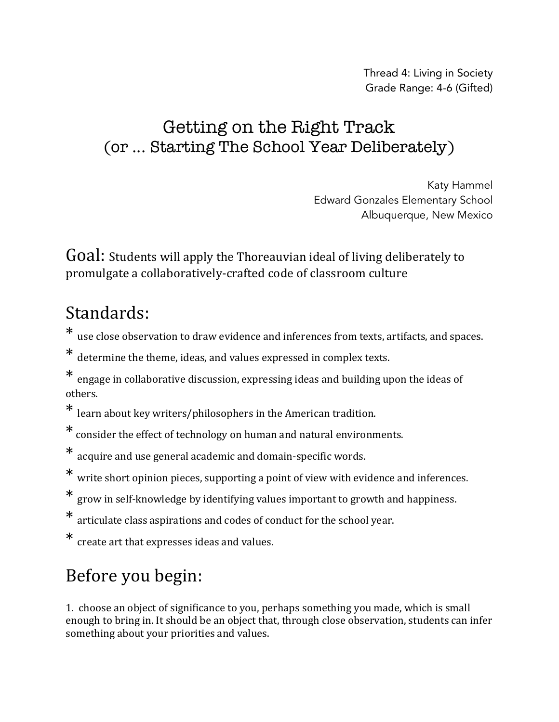Thread 4: Living in Society Grade Range: 4-6 (Gifted)

#### Getting on the Right Track (or ... Starting The School Year Deliberately)

Katy Hammel Edward Gonzales Elementary School Albuquerque, New Mexico

Goal: Students will apply the Thoreauvian ideal of living deliberately to promulgate a collaboratively-crafted code of classroom culture

## Standards:

- \* use close observation to draw evidence and inferences from texts, artifacts, and spaces.
- \* determine the theme, ideas, and values expressed in complex texts.

\* engage in collaborative discussion, expressing ideas and building upon the ideas of others. 

 $*$  learn about key writers/philosophers in the American tradition.

\* consider the effect of technology on human and natural environments.

\* acquire and use general academic and domain-specific words.

\* write short opinion pieces, supporting a point of view with evidence and inferences.

\* grow in self-knowledge by identifying values important to growth and happiness.

\* articulate class aspirations and codes of conduct for the school year.

\* create art that expresses ideas and values.

# Before you begin:

1. choose an object of significance to you, perhaps something you made, which is small enough to bring in. It should be an object that, through close observation, students can infer something about your priorities and values.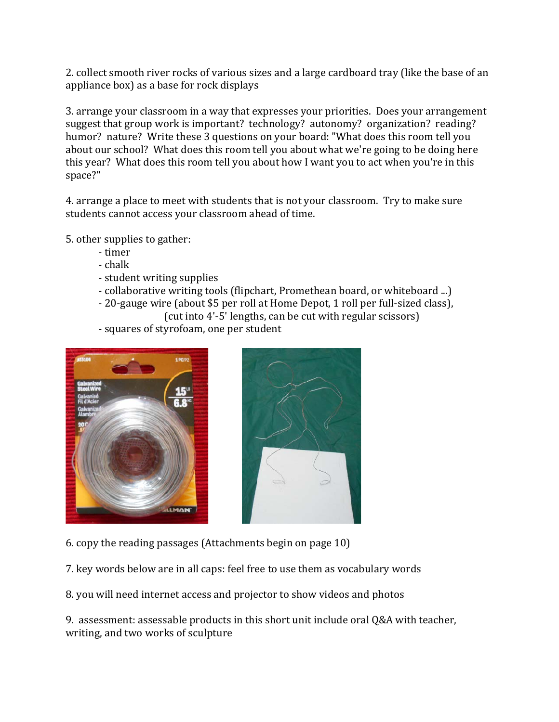2. collect smooth river rocks of various sizes and a large cardboard tray (like the base of an appliance box) as a base for rock displays

3. arrange your classroom in a way that expresses your priorities. Does your arrangement suggest that group work is important? technology? autonomy? organization? reading? humor? nature? Write these 3 questions on your board: "What does this room tell you about our school? What does this room tell you about what we're going to be doing here this year? What does this room tell you about how I want you to act when you're in this space?"

4. arrange a place to meet with students that is not your classroom. Try to make sure students cannot access your classroom ahead of time.

5. other supplies to gather:

- timer
- chalk
- student writing supplies
- collaborative writing tools (flipchart, Promethean board, or whiteboard ...)
- 20-gauge wire (about \$5 per roll at Home Depot, 1 roll per full-sized class),
	- $(cut into 4'-5'$  lengths, can be cut with regular scissors)
- squares of styrofoam, one per student





6. copy the reading passages (Attachments begin on page  $10$ )

7. key words below are in all caps: feel free to use them as vocabulary words

8. you will need internet access and projector to show videos and photos

9. assessment: assessable products in this short unit include oral Q&A with teacher, writing, and two works of sculpture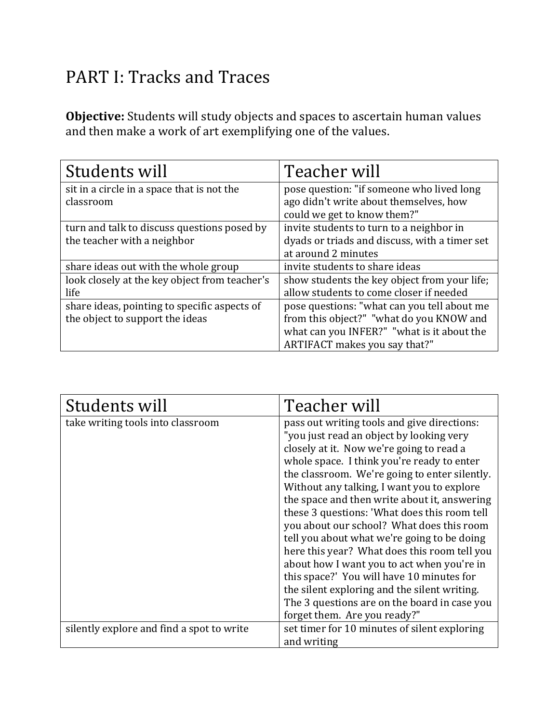## PART I: Tracks and Traces

**Objective:** Students will study objects and spaces to ascertain human values and then make a work of art exemplifying one of the values.

| Students will                                                              | Teacher will                                                                                                            |
|----------------------------------------------------------------------------|-------------------------------------------------------------------------------------------------------------------------|
| sit in a circle in a space that is not the<br>classroom                    | pose question: "if someone who lived long<br>ago didn't write about themselves, how<br>could we get to know them?"      |
| turn and talk to discuss questions posed by<br>the teacher with a neighbor | invite students to turn to a neighbor in<br>dyads or triads and discuss, with a timer set<br>at around 2 minutes        |
| share ideas out with the whole group                                       | invite students to share ideas                                                                                          |
| look closely at the key object from teacher's                              | show students the key object from your life;                                                                            |
| life                                                                       | allow students to come closer if needed                                                                                 |
| share ideas, pointing to specific aspects of                               | pose questions: "what can you tell about me                                                                             |
| the object to support the ideas                                            | from this object?" "what do you KNOW and<br>what can you INFER?" "what is it about the<br>ARTIFACT makes you say that?" |

| Students will                             | Teacher will                                  |
|-------------------------------------------|-----------------------------------------------|
| take writing tools into classroom         | pass out writing tools and give directions:   |
|                                           | "you just read an object by looking very      |
|                                           | closely at it. Now we're going to read a      |
|                                           | whole space. I think you're ready to enter    |
|                                           | the classroom. We're going to enter silently. |
|                                           | Without any talking, I want you to explore    |
|                                           | the space and then write about it, answering  |
|                                           | these 3 questions: 'What does this room tell  |
|                                           | you about our school? What does this room     |
|                                           | tell you about what we're going to be doing   |
|                                           | here this year? What does this room tell you  |
|                                           | about how I want you to act when you're in    |
|                                           | this space?' You will have 10 minutes for     |
|                                           | the silent exploring and the silent writing.  |
|                                           | The 3 questions are on the board in case you  |
|                                           | forget them. Are you ready?"                  |
| silently explore and find a spot to write | set timer for 10 minutes of silent exploring  |
|                                           | and writing                                   |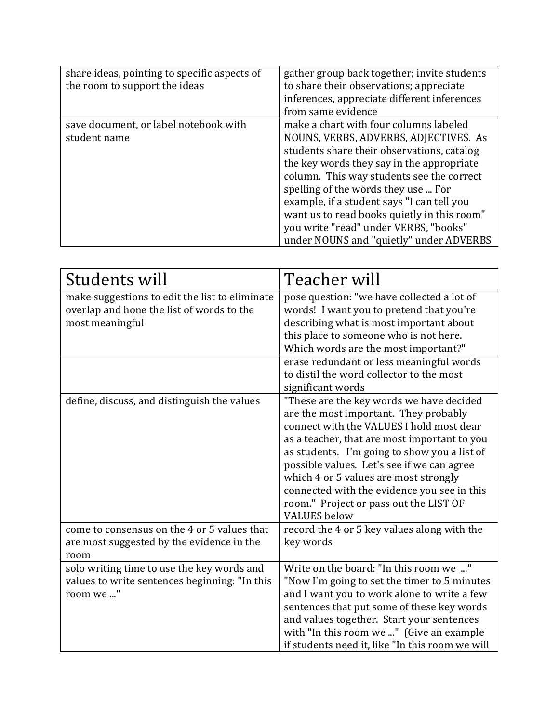| share ideas, pointing to specific aspects of<br>the room to support the ideas | gather group back together; invite students<br>to share their observations; appreciate<br>inferences, appreciate different inferences<br>from same evidence                                                                                                                                                                                                                                                                                     |
|-------------------------------------------------------------------------------|-------------------------------------------------------------------------------------------------------------------------------------------------------------------------------------------------------------------------------------------------------------------------------------------------------------------------------------------------------------------------------------------------------------------------------------------------|
| save document, or label notebook with<br>student name                         | make a chart with four columns labeled<br>NOUNS, VERBS, ADVERBS, ADJECTIVES. As<br>students share their observations, catalog<br>the key words they say in the appropriate<br>column. This way students see the correct<br>spelling of the words they use  For<br>example, if a student says "I can tell you<br>want us to read books quietly in this room"<br>you write "read" under VERBS, "books"<br>under NOUNS and "quietly" under ADVERBS |

| Students will                                                                                                  | Teacher will                                                                                                                                                                                                                                                                                                                                                                                                                         |
|----------------------------------------------------------------------------------------------------------------|--------------------------------------------------------------------------------------------------------------------------------------------------------------------------------------------------------------------------------------------------------------------------------------------------------------------------------------------------------------------------------------------------------------------------------------|
| make suggestions to edit the list to eliminate<br>overlap and hone the list of words to the<br>most meaningful | pose question: "we have collected a lot of<br>words! I want you to pretend that you're<br>describing what is most important about<br>this place to someone who is not here.<br>Which words are the most important?"                                                                                                                                                                                                                  |
|                                                                                                                | erase redundant or less meaningful words<br>to distil the word collector to the most<br>significant words                                                                                                                                                                                                                                                                                                                            |
| define, discuss, and distinguish the values                                                                    | "These are the key words we have decided<br>are the most important. They probably<br>connect with the VALUES I hold most dear<br>as a teacher, that are most important to you<br>as students. I'm going to show you a list of<br>possible values. Let's see if we can agree<br>which 4 or 5 values are most strongly<br>connected with the evidence you see in this<br>room." Project or pass out the LIST OF<br><b>VALUES</b> below |
| come to consensus on the 4 or 5 values that<br>are most suggested by the evidence in the<br>room               | record the 4 or 5 key values along with the<br>key words                                                                                                                                                                                                                                                                                                                                                                             |
| solo writing time to use the key words and<br>values to write sentences beginning: "In this<br>room we "       | Write on the board: "In this room we "<br>"Now I'm going to set the timer to 5 minutes<br>and I want you to work alone to write a few<br>sentences that put some of these key words<br>and values together. Start your sentences<br>with "In this room we " (Give an example<br>if students need it, like "In this room we will                                                                                                      |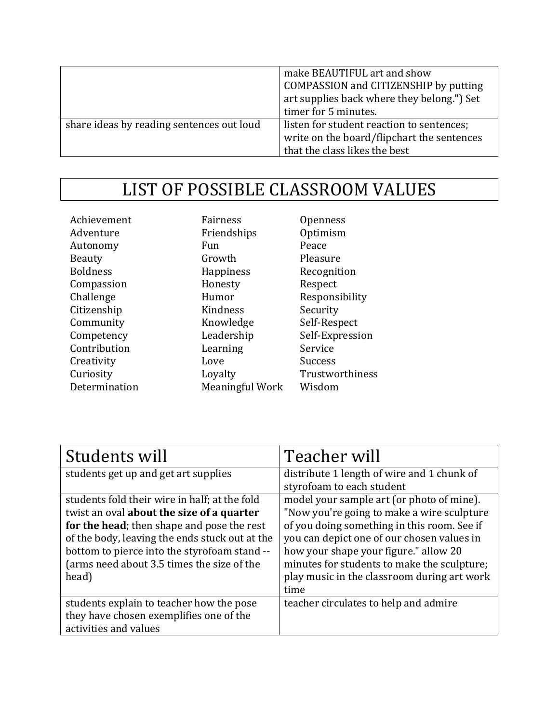|                                           | make BEAUTIFUL art and show<br>COMPASSION and CITIZENSHIP by putting<br>art supplies back where they belong.") Set<br>timer for 5 minutes. |
|-------------------------------------------|--------------------------------------------------------------------------------------------------------------------------------------------|
| share ideas by reading sentences out loud | listen for student reaction to sentences;<br>write on the board/flipchart the sentences<br>that the class likes the best                   |

### LIST OF POSSIBLE CLASSROOM VALUES

| Achievement     |
|-----------------|
| Adventure       |
| Autonomy        |
| Beauty          |
| <b>Boldness</b> |
| Compassion      |
| Challenge       |
| Citizenship     |
| Community       |
| Competency      |
| Contribution    |
| Creativity      |
| Curiosity       |
| Determination   |
|                 |

Fairness Openness<br>Friendships Optimism Friendships Autonomy Fun Fun Peace Growth Pleasure Happiness Recognition<br>Honesty Respect Honesty Humor Responsibility Kindness Security<br>Knowledge Self-Resp Leadership Self-Expression Learning Service Love Success Meaningful Work Wisdom

Self-Respect Loyalty Trustworthiness

| Students will                                  | Teacher will                                |
|------------------------------------------------|---------------------------------------------|
| students get up and get art supplies           | distribute 1 length of wire and 1 chunk of  |
|                                                | styrofoam to each student                   |
| students fold their wire in half; at the fold  | model your sample art (or photo of mine).   |
| twist an oval about the size of a quarter      | "Now you're going to make a wire sculpture  |
| for the head; then shape and pose the rest     | of you doing something in this room. See if |
| of the body, leaving the ends stuck out at the | you can depict one of our chosen values in  |
| bottom to pierce into the styrofoam stand --   | how your shape your figure." allow 20       |
| (arms need about 3.5 times the size of the     | minutes for students to make the sculpture; |
| head)                                          | play music in the classroom during art work |
|                                                | time                                        |
| students explain to teacher how the pose       | teacher circulates to help and admire       |
| they have chosen exemplifies one of the        |                                             |
| activities and values                          |                                             |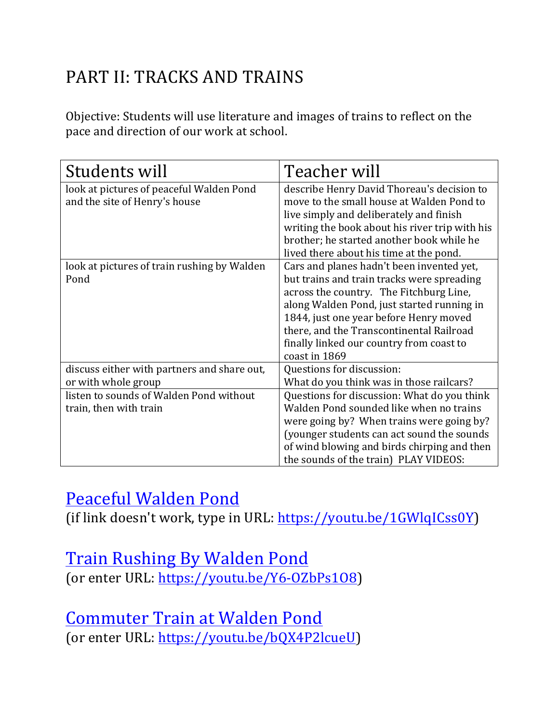# PART II: TRACKS AND TRAINS

Objective: Students will use literature and images of trains to reflect on the pace and direction of our work at school.

| Students will                               | Teacher will                                                                         |
|---------------------------------------------|--------------------------------------------------------------------------------------|
| look at pictures of peaceful Walden Pond    | describe Henry David Thoreau's decision to                                           |
| and the site of Henry's house               | move to the small house at Walden Pond to<br>live simply and deliberately and finish |
|                                             | writing the book about his river trip with his                                       |
|                                             | brother; he started another book while he                                            |
|                                             | lived there about his time at the pond.                                              |
| look at pictures of train rushing by Walden | Cars and planes hadn't been invented yet,                                            |
| Pond                                        | but trains and train tracks were spreading                                           |
|                                             | across the country. The Fitchburg Line,                                              |
|                                             | along Walden Pond, just started running in<br>1844, just one year before Henry moved |
|                                             | there, and the Transcontinental Railroad                                             |
|                                             | finally linked our country from coast to                                             |
|                                             | coast in 1869                                                                        |
| discuss either with partners and share out, | Questions for discussion:                                                            |
| or with whole group                         | What do you think was in those railcars?                                             |
| listen to sounds of Walden Pond without     | Questions for discussion: What do you think                                          |
| train, then with train                      | Walden Pond sounded like when no trains                                              |
|                                             | were going by? When trains were going by?                                            |
|                                             | (younger students can act sound the sounds                                           |
|                                             | of wind blowing and birds chirping and then<br>the sounds of the train) PLAY VIDEOS: |
|                                             |                                                                                      |

### Peaceful Walden Pond

(if link doesn't work, type in URL: https://youtu.be/1GWlqICss0Y)

#### **Train Rushing By Walden Pond**

(or enter URL: https://youtu.be/Y6-OZbPs1O8)

#### Commuter Train at Walden Pond

(or enter URL: https://youtu.be/bQX4P2lcueU)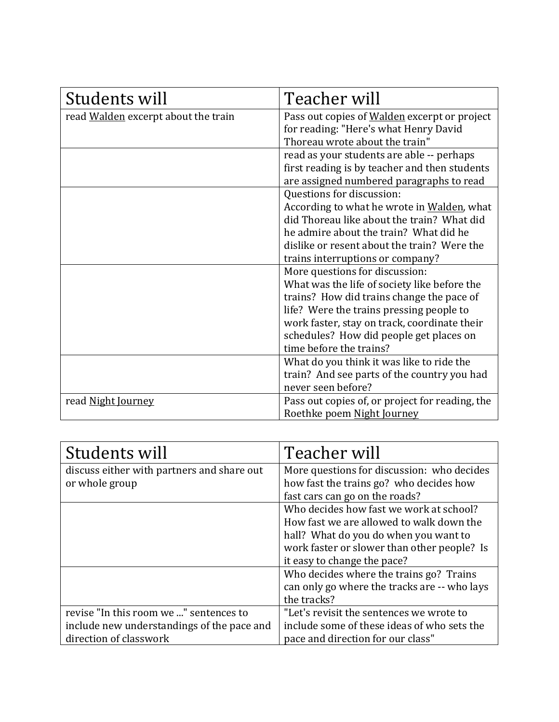| Students will                       | Teacher will                                    |
|-------------------------------------|-------------------------------------------------|
| read Walden excerpt about the train | Pass out copies of Walden excerpt or project    |
|                                     | for reading: "Here's what Henry David           |
|                                     | Thoreau wrote about the train"                  |
|                                     | read as your students are able -- perhaps       |
|                                     | first reading is by teacher and then students   |
|                                     | are assigned numbered paragraphs to read        |
|                                     | Questions for discussion:                       |
|                                     | According to what he wrote in Walden, what      |
|                                     | did Thoreau like about the train? What did      |
|                                     | he admire about the train? What did he          |
|                                     | dislike or resent about the train? Were the     |
|                                     | trains interruptions or company?                |
|                                     | More questions for discussion:                  |
|                                     | What was the life of society like before the    |
|                                     | trains? How did trains change the pace of       |
|                                     | life? Were the trains pressing people to        |
|                                     | work faster, stay on track, coordinate their    |
|                                     | schedules? How did people get places on         |
|                                     | time before the trains?                         |
|                                     | What do you think it was like to ride the       |
|                                     | train? And see parts of the country you had     |
|                                     | never seen before?                              |
| read Night Journey                  | Pass out copies of, or project for reading, the |
|                                     | Roethke poem Night Journey                      |

| Students will                              | Teacher will                                 |
|--------------------------------------------|----------------------------------------------|
| discuss either with partners and share out | More questions for discussion: who decides   |
| or whole group                             | how fast the trains go? who decides how      |
|                                            | fast cars can go on the roads?               |
|                                            | Who decides how fast we work at school?      |
|                                            | How fast we are allowed to walk down the     |
|                                            | hall? What do you do when you want to        |
|                                            | work faster or slower than other people? Is  |
|                                            | it easy to change the pace?                  |
|                                            | Who decides where the trains go? Trains      |
|                                            | can only go where the tracks are -- who lays |
|                                            | the tracks?                                  |
| revise "In this room we " sentences to     | "Let's revisit the sentences we wrote to     |
| include new understandings of the pace and | include some of these ideas of who sets the  |
| direction of classwork                     | pace and direction for our class"            |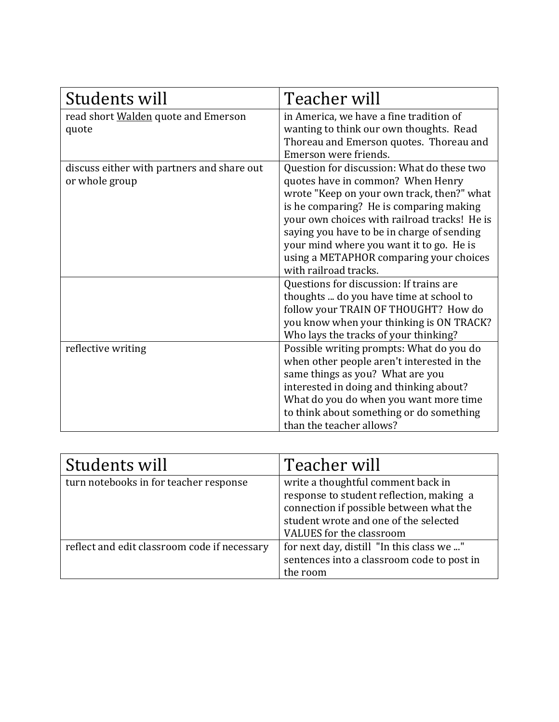| Students will                              | Teacher will                                                                      |
|--------------------------------------------|-----------------------------------------------------------------------------------|
| read short Walden quote and Emerson        | in America, we have a fine tradition of                                           |
| quote                                      | wanting to think our own thoughts. Read                                           |
|                                            | Thoreau and Emerson quotes. Thoreau and                                           |
|                                            | Emerson were friends.                                                             |
| discuss either with partners and share out | Question for discussion: What do these two                                        |
| or whole group                             | quotes have in common? When Henry                                                 |
|                                            | wrote "Keep on your own track, then?" what                                        |
|                                            | is he comparing? He is comparing making                                           |
|                                            | your own choices with railroad tracks! He is                                      |
|                                            | saying you have to be in charge of sending                                        |
|                                            | your mind where you want it to go. He is                                          |
|                                            | using a METAPHOR comparing your choices                                           |
|                                            | with railroad tracks.                                                             |
|                                            | Questions for discussion: If trains are                                           |
|                                            | thoughts  do you have time at school to                                           |
|                                            | follow your TRAIN OF THOUGHT? How do                                              |
|                                            | you know when your thinking is ON TRACK?                                          |
| reflective writing                         | Who lays the tracks of your thinking?<br>Possible writing prompts: What do you do |
|                                            | when other people aren't interested in the                                        |
|                                            | same things as you? What are you                                                  |
|                                            | interested in doing and thinking about?                                           |
|                                            | What do you do when you want more time                                            |
|                                            | to think about something or do something                                          |
|                                            | than the teacher allows?                                                          |

| Students will                                | Teacher will                                                                                                                                                                                   |
|----------------------------------------------|------------------------------------------------------------------------------------------------------------------------------------------------------------------------------------------------|
| turn notebooks in for teacher response       | write a thoughtful comment back in<br>response to student reflection, making a<br>connection if possible between what the<br>student wrote and one of the selected<br>VALUES for the classroom |
| reflect and edit classroom code if necessary | for next day, distill "In this class we "<br>sentences into a classroom code to post in<br>the room                                                                                            |